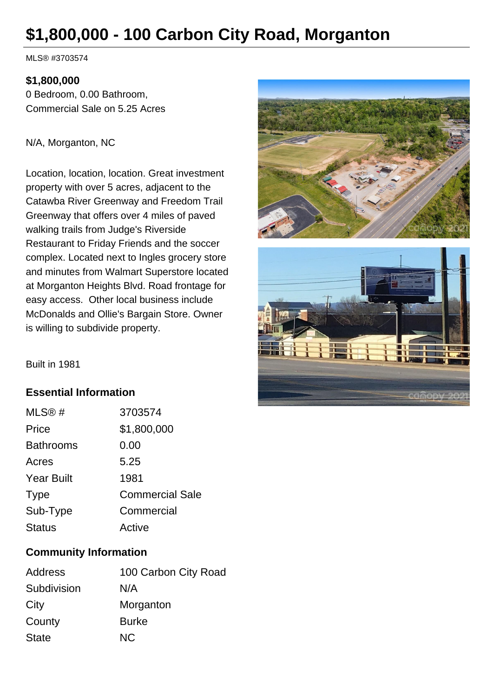# **\$1,800,000 - 100 Carbon City Road, Morganton**

MLS® #3703574

### **\$1,800,000**

0 Bedroom, 0.00 Bathroom, Commercial Sale on 5.25 Acres

#### N/A, Morganton, NC

Location, location, location. Great investment property with over 5 acres, adjacent to the Catawba River Greenway and Freedom Trail Greenway that offers over 4 miles of paved walking trails from Judge's Riverside Restaurant to Friday Friends and the soccer complex. Located next to Ingles grocery store and minutes from Walmart Superstore located at Morganton Heights Blvd. Road frontage for easy access. Other local business include McDonalds and Ollie's Bargain Store. Owner is willing to subdivide property.





Built in 1981

## **Essential Information**

| MLS@#             | 3703574                |
|-------------------|------------------------|
| Price             | \$1,800,000            |
| <b>Bathrooms</b>  | 0.00                   |
| Acres             | 5.25                   |
| <b>Year Built</b> | 1981                   |
| <b>Type</b>       | <b>Commercial Sale</b> |
| Sub-Type          | Commercial             |
| <b>Status</b>     | Active                 |

## **Community Information**

| 100 Carbon City Road |
|----------------------|
| N/A                  |
| Morganton            |
| <b>Burke</b>         |
| NC.                  |
|                      |